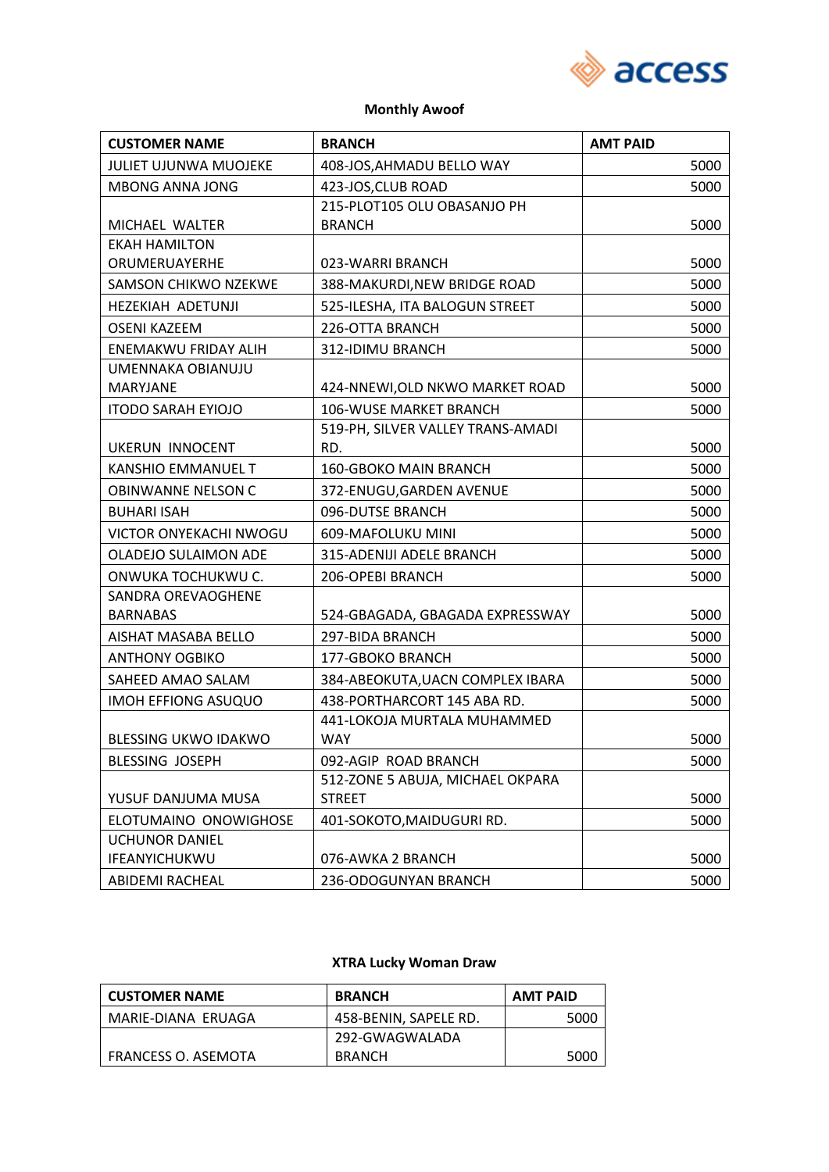

#### **Monthly Awoof**

| <b>CUSTOMER NAME</b>         | <b>BRANCH</b>                                     | <b>AMT PAID</b> |
|------------------------------|---------------------------------------------------|-----------------|
| <b>JULIET UJUNWA MUOJEKE</b> | 408-JOS, AHMADU BELLO WAY                         | 5000            |
| <b>MBONG ANNA JONG</b>       | 423-JOS, CLUB ROAD                                | 5000            |
|                              | 215-PLOT105 OLU OBASANJO PH                       |                 |
| MICHAEL WALTER               | <b>BRANCH</b>                                     | 5000            |
| <b>EKAH HAMILTON</b>         |                                                   |                 |
| ORUMERUAYERHE                | 023-WARRI BRANCH                                  | 5000            |
| <b>SAMSON CHIKWO NZEKWE</b>  | 388-MAKURDI, NEW BRIDGE ROAD                      | 5000            |
| <b>HEZEKIAH ADETUNJI</b>     | 525-ILESHA, ITA BALOGUN STREET                    | 5000            |
| <b>OSENI KAZEEM</b>          | 226-OTTA BRANCH                                   | 5000            |
| ENEMAKWU FRIDAY ALIH         | 312-IDIMU BRANCH                                  | 5000            |
| UMENNAKA OBIANUJU            |                                                   |                 |
| <b>MARYJANE</b>              | 424-NNEWI, OLD NKWO MARKET ROAD                   | 5000            |
| <b>ITODO SARAH EYIOJO</b>    | 106-WUSE MARKET BRANCH                            | 5000            |
| <b>UKERUN INNOCENT</b>       | 519-PH, SILVER VALLEY TRANS-AMADI<br>RD.          | 5000            |
| <b>KANSHIO EMMANUEL T</b>    | 160-GBOKO MAIN BRANCH                             | 5000            |
| OBINWANNE NELSON C           | 372-ENUGU, GARDEN AVENUE                          | 5000            |
| <b>BUHARI ISAH</b>           | 096-DUTSE BRANCH                                  | 5000            |
| VICTOR ONYEKACHI NWOGU       | 609-MAFOLUKU MINI                                 | 5000            |
| OLADEJO SULAIMON ADE         | 315-ADENIJI ADELE BRANCH                          | 5000            |
| ONWUKA TOCHUKWU C.           | 206-OPEBI BRANCH                                  | 5000            |
| SANDRA OREVAOGHENE           |                                                   |                 |
| <b>BARNABAS</b>              | 524-GBAGADA, GBAGADA EXPRESSWAY                   | 5000            |
| AISHAT MASABA BELLO          | 297-BIDA BRANCH                                   | 5000            |
| <b>ANTHONY OGBIKO</b>        | 177-GBOKO BRANCH                                  | 5000            |
| SAHEED AMAO SALAM            | 384-ABEOKUTA, UACN COMPLEX IBARA                  | 5000            |
| IMOH EFFIONG ASUQUO          | 438-PORTHARCORT 145 ABA RD.                       | 5000            |
|                              | 441-LOKOJA MURTALA MUHAMMED                       |                 |
| <b>BLESSING UKWO IDAKWO</b>  | <b>WAY</b>                                        | 5000            |
| <b>BLESSING JOSEPH</b>       | 092-AGIP ROAD BRANCH                              | 5000            |
| YUSUF DANJUMA MUSA           | 512-ZONE 5 ABUJA, MICHAEL OKPARA<br><b>STREET</b> | 5000            |
| ELOTUMAINO ONOWIGHOSE        | 401-SOKOTO, MAIDUGURI RD.                         | 5000            |
| <b>UCHUNOR DANIEL</b>        |                                                   |                 |
| IFEANYICHUKWU                | 076-AWKA 2 BRANCH                                 | 5000            |
| ABIDEMI RACHEAL              | 236-ODOGUNYAN BRANCH                              | 5000            |

## **XTRA Lucky Woman Draw**

| <b>CUSTOMER NAME</b> | <b>BRANCH</b>         | <b>AMT PAID</b> |
|----------------------|-----------------------|-----------------|
| MARIE-DIANA ERUAGA   | 458-BENIN, SAPELE RD. | 5000            |
|                      | 292-GWAGWALADA        |                 |
| FRANCESS O. ASEMOTA  | <b>BRANCH</b>         | 5000            |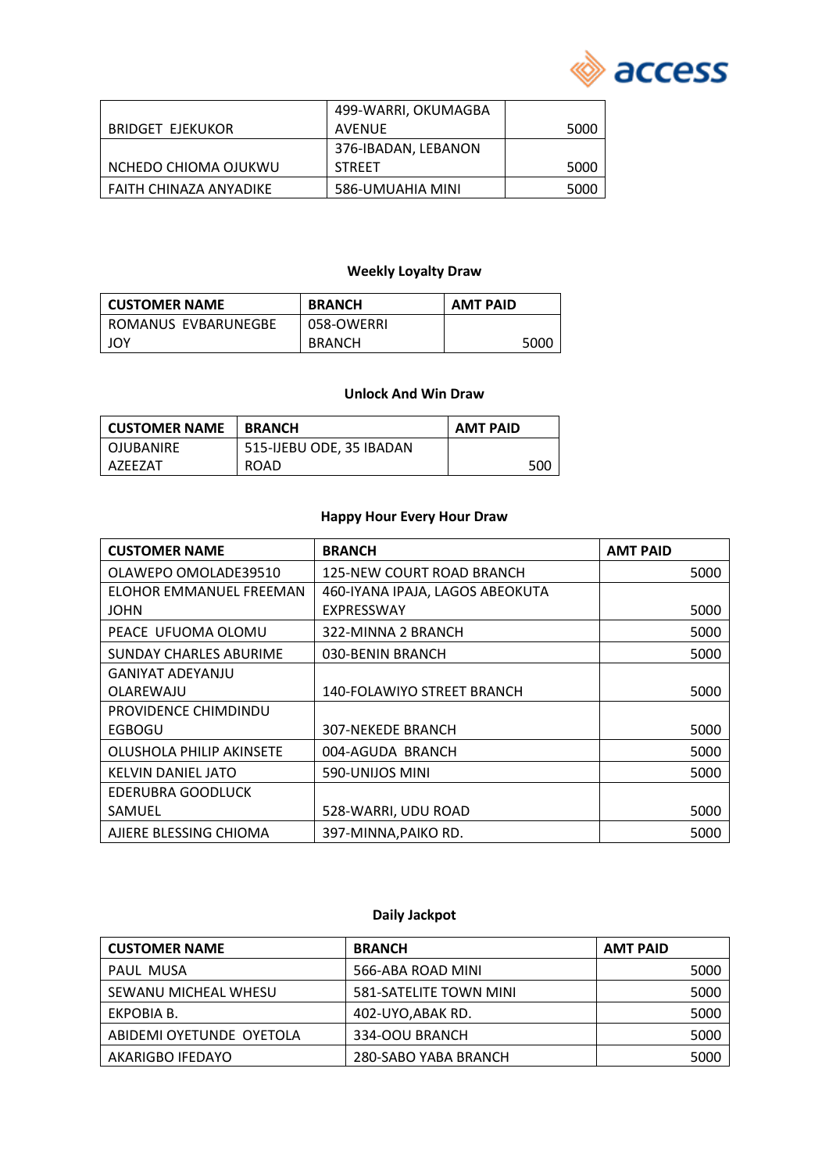

|                         | 499-WARRI, OKUMAGBA |      |
|-------------------------|---------------------|------|
| <b>BRIDGET EJEKUKOR</b> | AVENUE              | 5000 |
|                         | 376-IBADAN, LEBANON |      |
| NCHEDO CHIOMA OJUKWU    | <b>STREET</b>       | 5000 |
| FAITH CHINAZA ANYADIKE  | 586-UMUAHIA MINI    | 5000 |

### **Weekly Loyalty Draw**

| l CUSTOMER NAME     | <b>BRANCH</b> | <b>AMT PAID</b> |
|---------------------|---------------|-----------------|
| ROMANUS EVBARUNEGBE | 058-OWERRI    |                 |
| JOY                 | <b>BRANCH</b> | 5000            |

#### **Unlock And Win Draw**

| l CUSTOMER NAME | <b>BRANCH</b>            | <b>AMT PAID</b> |
|-----------------|--------------------------|-----------------|
| I OJUBANIRE     | 515-IJEBU ODE, 35 IBADAN |                 |
| A7FF7AT         | <b>ROAD</b>              | 500             |

#### **Happy Hour Every Hour Draw**

| <b>CUSTOMER NAME</b>          | <b>BRANCH</b>                   | <b>AMT PAID</b> |
|-------------------------------|---------------------------------|-----------------|
| OLAWEPO OMOLADE39510          | 125-NEW COURT ROAD BRANCH       | 5000            |
| ELOHOR EMMANUEL FREEMAN       | 460-IYANA IPAJA, LAGOS ABEOKUTA |                 |
| JOHN                          | EXPRESSWAY                      | 5000            |
| PEACE UFUOMA OLOMU            | 322-MINNA 2 BRANCH              | 5000            |
| <b>SUNDAY CHARLES ABURIME</b> | 030-BENIN BRANCH                | 5000            |
| GANIYAT ADEYANJU              |                                 |                 |
| OLAREWAJU                     | 140-FOLAWIYO STREET BRANCH      | 5000            |
| PROVIDENCE CHIMDINDU          |                                 |                 |
| EGBOGU                        | 307-NEKEDE BRANCH               | 5000            |
| OLUSHOLA PHILIP AKINSETE      | 004-AGUDA BRANCH                | 5000            |
| KELVIN DANIEL JATO            | 590-UNIJOS MINI                 | 5000            |
| EDERUBRA GOODLUCK             |                                 |                 |
| SAMUEL                        | 528-WARRI, UDU ROAD             | 5000            |
| AJIERE BLESSING CHIOMA        | 397-MINNA, PAIKO RD.            | 5000            |

# **Daily Jackpot**

| <b>CUSTOMER NAME</b>     | <b>BRANCH</b>          | <b>AMT PAID</b> |
|--------------------------|------------------------|-----------------|
| PAUL MUSA                | 566-ABA ROAD MINI      | 5000            |
| SEWANU MICHEAL WHESU     | 581-SATELITE TOWN MINI | 5000            |
| EKPOBIA B.               | 402-UYO, ABAK RD.      | 5000            |
| ABIDEMI OYETUNDE OYETOLA | 334-OOU BRANCH         | 5000            |
| AKARIGBO IFEDAYO         | 280-SABO YABA BRANCH   | 5000            |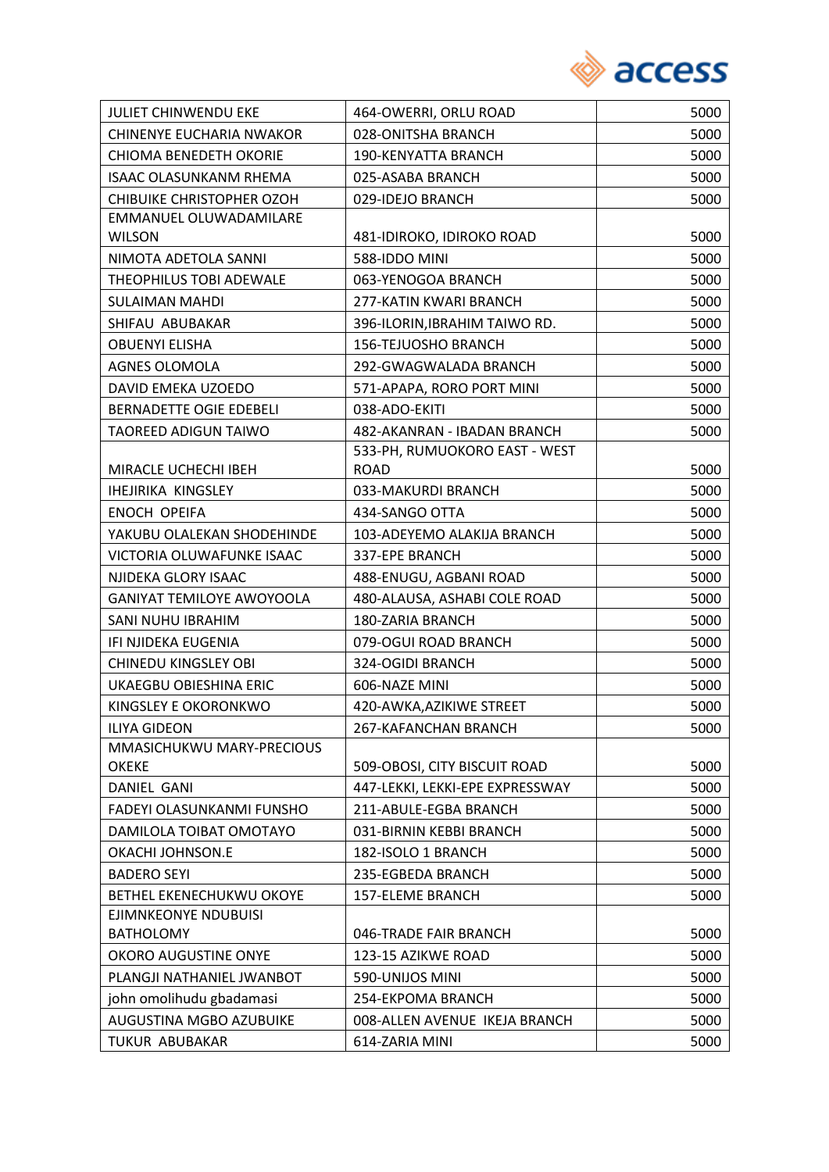

| <b>JULIET CHINWENDU EKE</b>      | 464-OWERRI, ORLU ROAD           | 5000 |
|----------------------------------|---------------------------------|------|
| CHINENYE EUCHARIA NWAKOR         | 028-ONITSHA BRANCH              | 5000 |
| <b>CHIOMA BENEDETH OKORIE</b>    | 190-KENYATTA BRANCH             | 5000 |
| <b>ISAAC OLASUNKANM RHEMA</b>    | 025-ASABA BRANCH                | 5000 |
| <b>CHIBUIKE CHRISTOPHER OZOH</b> | 029-IDEJO BRANCH                | 5000 |
| EMMANUEL OLUWADAMILARE           |                                 |      |
| <b>WILSON</b>                    | 481-IDIROKO, IDIROKO ROAD       | 5000 |
| NIMOTA ADETOLA SANNI             | 588-IDDO MINI                   | 5000 |
| THEOPHILUS TOBI ADEWALE          | 063-YENOGOA BRANCH              | 5000 |
| <b>SULAIMAN MAHDI</b>            | 277-KATIN KWARI BRANCH          | 5000 |
| SHIFAU ABUBAKAR                  | 396-ILORIN, IBRAHIM TAIWO RD.   | 5000 |
| <b>OBUENYI ELISHA</b>            | 156-TEJUOSHO BRANCH             | 5000 |
| <b>AGNES OLOMOLA</b>             | 292-GWAGWALADA BRANCH           | 5000 |
| <b>DAVID EMEKA UZOEDO</b>        | 571-APAPA, RORO PORT MINI       | 5000 |
| <b>BERNADETTE OGIE EDEBELI</b>   | 038-ADO-EKITI                   | 5000 |
| <b>TAOREED ADIGUN TAIWO</b>      | 482-AKANRAN - IBADAN BRANCH     | 5000 |
|                                  | 533-PH, RUMUOKORO EAST - WEST   |      |
| MIRACLE UCHECHI IBEH             | <b>ROAD</b>                     | 5000 |
| <b>IHEJIRIKA KINGSLEY</b>        | 033-MAKURDI BRANCH              | 5000 |
| ENOCH OPEIFA                     | 434-SANGO OTTA                  | 5000 |
| YAKUBU OLALEKAN SHODEHINDE       | 103-ADEYEMO ALAKIJA BRANCH      | 5000 |
| VICTORIA OLUWAFUNKE ISAAC        | 337-EPE BRANCH                  | 5000 |
| NJIDEKA GLORY ISAAC              | 488-ENUGU, AGBANI ROAD          | 5000 |
| <b>GANIYAT TEMILOYE AWOYOOLA</b> | 480-ALAUSA, ASHABI COLE ROAD    | 5000 |
| SANI NUHU IBRAHIM                | 180-ZARIA BRANCH                | 5000 |
| IFI NJIDEKA EUGENIA              | 079-OGUI ROAD BRANCH            | 5000 |
| <b>CHINEDU KINGSLEY OBI</b>      | 324-OGIDI BRANCH                | 5000 |
| UKAEGBU OBIESHINA ERIC           | 606-NAZE MINI                   | 5000 |
| KINGSLEY E OKORONKWO             | 420-AWKA, AZIKIWE STREET        | 5000 |
| <b>ILIYA GIDEON</b>              | 267-KAFANCHAN BRANCH            | 5000 |
| MMASICHUKWU MARY-PRECIOUS        |                                 |      |
| <b>OKEKE</b>                     | 509-OBOSI, CITY BISCUIT ROAD    | 5000 |
| DANIEL GANI                      | 447-LEKKI, LEKKI-EPE EXPRESSWAY | 5000 |
| FADEYI OLASUNKANMI FUNSHO        | 211-ABULE-EGBA BRANCH           | 5000 |
| DAMILOLA TOIBAT OMOTAYO          | 031-BIRNIN KEBBI BRANCH         | 5000 |
| OKACHI JOHNSON.E                 | 182-ISOLO 1 BRANCH              | 5000 |
| <b>BADERO SEYI</b>               | 235-EGBEDA BRANCH               | 5000 |
| BETHEL EKENECHUKWU OKOYE         | <b>157-ELEME BRANCH</b>         | 5000 |
| EJIMNKEONYE NDUBUISI             |                                 |      |
| <b>BATHOLOMY</b>                 | 046-TRADE FAIR BRANCH           | 5000 |
| OKORO AUGUSTINE ONYE             | 123-15 AZIKWE ROAD              | 5000 |
| PLANGJI NATHANIEL JWANBOT        | 590-UNIJOS MINI                 | 5000 |
| john omolihudu gbadamasi         | 254-EKPOMA BRANCH               | 5000 |
| AUGUSTINA MGBO AZUBUIKE          | 008-ALLEN AVENUE IKEJA BRANCH   | 5000 |
| TUKUR ABUBAKAR                   | 614-ZARIA MINI                  | 5000 |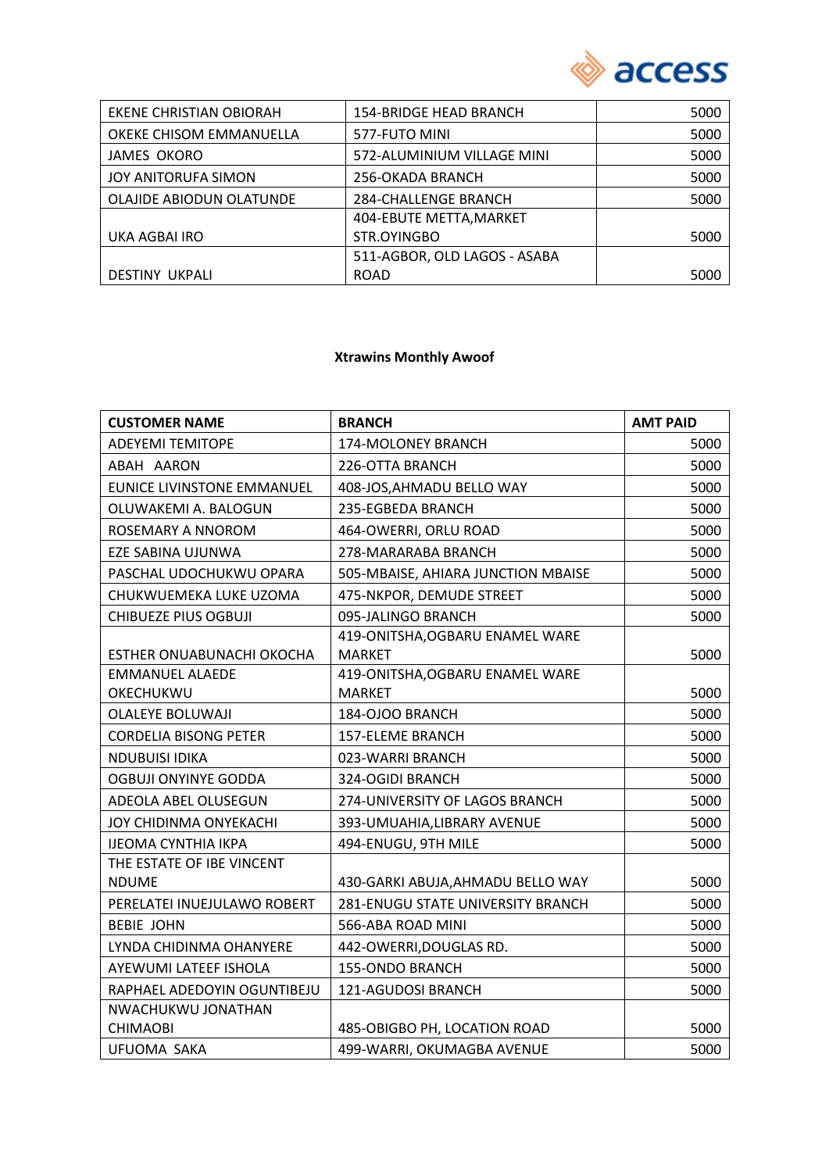

| EKENE CHRISTIAN OBIORAH  | <b>154-BRIDGE HEAD BRANCH</b> | 5000 |
|--------------------------|-------------------------------|------|
| OKEKE CHISOM EMMANUELLA  | 577-FUTO MINI                 | 5000 |
| <b>JAMES OKORO</b>       | 572-ALUMINIUM VILLAGE MINI    | 5000 |
| JOY ANITORUFA SIMON      | 256-OKADA BRANCH              | 5000 |
| OLAJIDE ABIODUN OLATUNDE | <b>284-CHALLENGE BRANCH</b>   | 5000 |
|                          | 404-EBUTE METTA, MARKET       |      |
| UKA AGBAI IRO            | STR.OYINGBO                   | 5000 |
|                          | 511-AGBOR, OLD LAGOS - ASABA  |      |
| <b>DESTINY UKPALI</b>    | <b>ROAD</b>                   | 5000 |
|                          |                               |      |

#### **Xtrawins Monthly Awoof**

| <b>CUSTOMER NAME</b>              | <b>BRANCH</b>                      | <b>AMT PAID</b> |
|-----------------------------------|------------------------------------|-----------------|
| <b>ADEYEMI TEMITOPE</b>           | 174-MOLONEY BRANCH                 | 5000            |
| ABAH AARON                        | 226-OTTA BRANCH                    | 5000            |
| <b>EUNICE LIVINSTONE EMMANUEL</b> | 408-JOS, AHMADU BELLO WAY          | 5000            |
| OLUWAKEMI A. BALOGUN              | 235-EGBEDA BRANCH                  | 5000            |
| ROSEMARY A NNOROM                 | 464-OWERRI, ORLU ROAD              | 5000            |
| EZE SABINA UJUNWA                 | 278-MARARABA BRANCH                | 5000            |
| PASCHAL UDOCHUKWU OPARA           | 505-MBAISE, AHIARA JUNCTION MBAISE | 5000            |
| CHUKWUEMEKA LUKE UZOMA            | 475-NKPOR, DEMUDE STREET           | 5000            |
| <b>CHIBUEZE PIUS OGBUJI</b>       | 095-JALINGO BRANCH                 | 5000            |
|                                   | 419-ONITSHA, OGBARU ENAMEL WARE    |                 |
| ESTHER ONUABUNACHI OKOCHA         | <b>MARKET</b>                      | 5000            |
| <b>EMMANUEL ALAEDE</b>            | 419-ONITSHA, OGBARU ENAMEL WARE    |                 |
| OKECHUKWU                         | <b>MARKET</b>                      | 5000            |
| <b>OLALEYE BOLUWAJI</b>           | 184-OJOO BRANCH                    | 5000            |
| <b>CORDELIA BISONG PETER</b>      | 157-ELEME BRANCH                   | 5000            |
| <b>NDUBUISI IDIKA</b>             | 023-WARRI BRANCH                   | 5000            |
| <b>OGBUJI ONYINYE GODDA</b>       | 324-OGIDI BRANCH                   | 5000            |
| ADEOLA ABEL OLUSEGUN              | 274-UNIVERSITY OF LAGOS BRANCH     | 5000            |
| JOY CHIDINMA ONYEKACHI            | 393-UMUAHIA, LIBRARY AVENUE        | 5000            |
| <b>IJEOMA CYNTHIA IKPA</b>        | 494-ENUGU, 9TH MILE                | 5000            |
| THE ESTATE OF IBE VINCENT         |                                    |                 |
| <b>NDUME</b>                      | 430-GARKI ABUJA, AHMADU BELLO WAY  | 5000            |
| PERELATEI INUEJULAWO ROBERT       | 281-ENUGU STATE UNIVERSITY BRANCH  | 5000            |
| <b>BEBIE JOHN</b>                 | 566-ABA ROAD MINI                  | 5000            |
| LYNDA CHIDINMA OHANYERE           | 442-OWERRI, DOUGLAS RD.            | 5000            |
| AYEWUMI LATEEF ISHOLA             | 155-ONDO BRANCH                    | 5000            |
| RAPHAEL ADEDOYIN OGUNTIBEJU       | <b>121-AGUDOSI BRANCH</b>          | 5000            |
| NWACHUKWU JONATHAN                |                                    |                 |
| <b>CHIMAOBI</b>                   | 485-OBIGBO PH, LOCATION ROAD       | 5000            |
| UFUOMA SAKA                       | 499-WARRI, OKUMAGBA AVENUE         | 5000            |